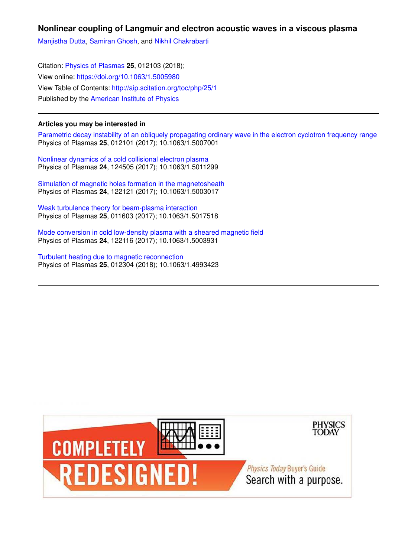**Nonlinear coupling of Langmuir and electron acoustic waves in a viscous plasma**

Manjistha Dutta, Samiran Ghosh, and Nikhil Chakrabarti

Citation: Physics of Plasmas **25**, 012103 (2018); View online: https://doi.org/10.1063/1.5005980 View Table of Contents: http://aip.scitation.org/toc/php/25/1 Published by the American Institute of Physics

# **Articles you may be interested in**

Parametric decay instability of an obliquely propagating ordinary wave in the electron cyclotron frequency range Physics of Plasmas **25**, 012101 (2017); 10.1063/1.5007001

Nonlinear dynamics of a cold collisional electron plasma Physics of Plasmas **24**, 124505 (2017); 10.1063/1.5011299

Simulation of magnetic holes formation in the magnetosheath Physics of Plasmas **24**, 122121 (2017); 10.1063/1.5003017

Weak turbulence theory for beam-plasma interaction Physics of Plasmas **25**, 011603 (2017); 10.1063/1.5017518

Mode conversion in cold low-density plasma with a sheared magnetic field Physics of Plasmas **24**, 122116 (2017); 10.1063/1.5003931

Turbulent heating due to magnetic reconnection Physics of Plasmas **25**, 012304 (2018); 10.1063/1.4993423

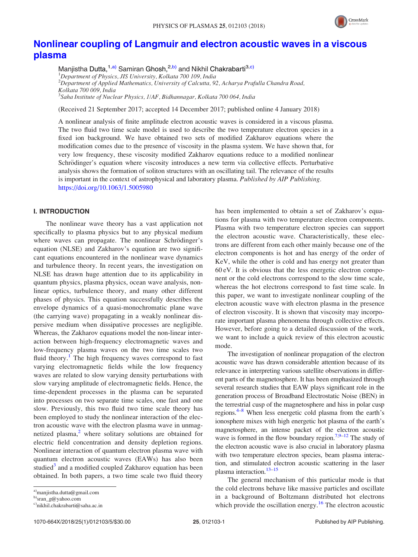

# Nonlinear coupling of Langmuir and electron acoustic waves in a viscous plasma

Manjistha Dutta,<sup>1,a)</sup> Samiran Ghosh,<sup>2,b)</sup> and Nikhil Chakrabarti<sup>3,c)</sup> <sup>1</sup>Department of Physics, JIS University, Kolkata 700 109, India  $2D$ epartment of Applied Mathematics, University of Calcutta, 92, Acharya Prafulla Chandra Road, Kolkata 700 009, India <sup>3</sup>Saha Institute of Nuclear Physics, 1/AF, Bidhannagar, Kolkata 700 064, India

(Received 21 September 2017; accepted 14 December 2017; published online 4 January 2018)

A nonlinear analysis of finite amplitude electron acoustic waves is considered in a viscous plasma. The two fluid two time scale model is used to describe the two temperature electron species in a fixed ion background. We have obtained two sets of modified Zakharov equations where the modification comes due to the presence of viscosity in the plasma system. We have shown that, for very low frequency, these viscosity modified Zakharov equations reduce to a modified nonlinear Schrödinger's equation where viscosity introduces a new term via collective effects. Perturbative analysis shows the formation of soliton structures with an oscillating tail. The relevance of the results is important in the context of astrophysical and laboratory plasma. Published by AIP Publishing. https://doi.org/10.1063/1.5005980

## I. INTRODUCTION

The nonlinear wave theory has a vast application not specifically to plasma physics but to any physical medium where waves can propagate. The nonlinear Schrödinger's equation (NLSE) and Zakharov's equation are two significant equations encountered in the nonlinear wave dynamics and turbulence theory. In recent years, the investigation on NLSE has drawn huge attention due to its applicability in quantum physics, plasma physics, ocean wave analysis, nonlinear optics, turbulence theory, and many other different phases of physics. This equation successfully describes the envelope dynamics of a quasi-monochromatic plane wave (the carrying wave) propagating in a weakly nonlinear dispersive medium when dissipative processes are negligible. Whereas, the Zakharov equations model the non-linear interaction between high-frequency electromagnetic waves and low-frequency plasma waves on the two time scales two fluid theory.<sup>1</sup> The high frequency waves correspond to fast varying electromagnetic fields while the low frequency waves are related to slow varying density perturbations with slow varying amplitude of electromagnetic fields. Hence, the time-dependent processes in the plasma can be separated into processes on two separate time scales, one fast and one slow. Previously, this two fluid two time scale theory has been employed to study the nonlinear interaction of the electron acoustic wave with the electron plasma wave in unmagnetized plasma, $<sup>2</sup>$  where solitary solutions are obtained for</sup> electric field concentration and density depletion regions. Nonlinear interaction of quantum electron plasma wave with quantum electron acoustic waves (EAWs) has also been studied<sup>3</sup> and a modified coupled Zakharov equation has been obtained. In both papers, a two time scale two fluid theory has been implemented to obtain a set of Zakharov's equations for plasma with two temperature electron components. Plasma with two temperature electron species can support the electron acoustic wave. Characteristically, these electrons are different from each other mainly because one of the electron components is hot and has energy of the order of KeV, while the other is cold and has energy not greater than 60 eV. It is obvious that the less energetic electron component or the cold electrons correspond to the slow time scale, whereas the hot electrons correspond to fast time scale. In this paper, we want to investigate nonlinear coupling of the electron acoustic wave with electron plasma in the presence of electron viscosity. It is shown that viscosity may incorporate important plasma phenomena through collective effects. However, before going to a detailed discussion of the work, we want to include a quick review of this electron acoustic mode.

The investigation of nonlinear propagation of the electron acoustic wave has drawn considerable attention because of its relevance in interpreting various satellite observations in different parts of the magnetosphere. It has been emphasized through several research studies that EAW plays significant role in the generation process of Broadband Electrostatic Noise (BEN) in the terrestrial cusp of the magnetosphere and hiss in polar cusp regions.4–8 When less energetic cold plasma from the earth's ionosphere mixes with high energetic hot plasma of the earth's magnetosphere, an intense packet of the electron acoustic wave is formed in the flow boundary region.<sup>7,9–12</sup> The study of the electron acoustic wave is also crucial in laboratory plasma with two temperature electron species, beam plasma interaction, and stimulated electron acoustic scattering in the laser plasma interaction.<sup>13-15</sup>

The general mechanism of this particular mode is that the cold electrons behave like massive particles and oscillate in a background of Boltzmann distributed hot electrons which provide the oscillation energy.<sup>16</sup> The electron acoustic

a)manjistha.dutta@gmail.com

b)sran\_g@yahoo.com

c)nikhil.chakrabarti@saha.ac.in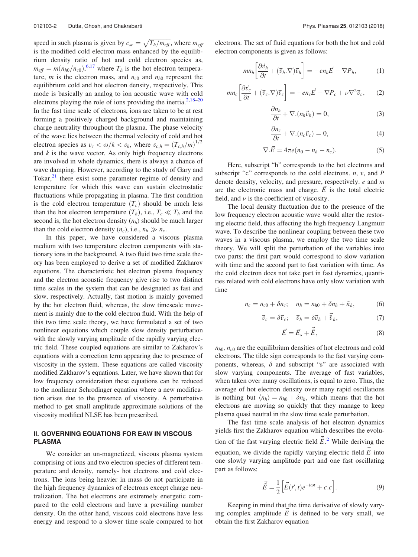speed in such plasma is given by  $c_{se} = \sqrt{T_h/m_{\text{eff}}}$ , where  $m_{\text{eff}}$ is the modified cold electron mass enhanced by the equilibrium density ratio of hot and cold electron species as,  $m_{\text{eff}} = m(n_{h0}/n_{c0})$ ,<sup>6,17</sup> where  $T_h$  is the hot electron temperature, *m* is the electron mass, and  $n_{c0}$  and  $n_{h0}$  represent the equilibrium cold and hot electron density, respectively. This mode is basically an analog to ion acoustic wave with cold electrons playing the role of ions providing the inertia. $2,18-20$ In the fast time scale of electrons, ions are taken to be at rest forming a positively charged background and maintaining charge neutrality throughout the plasma. The phase velocity of the wave lies between the thermal velocity of cold and hot electron species as  $v_c < \omega/k < v_h$ , where  $v_{c,h} = (T_{c,h}/m)^{1/2}$ and  $k$  is the wave vector. As only high frequency electrons are involved in whole dynamics, there is always a chance of wave damping. However, according to the study of Gary and Tokar, $^{21}$  there exist some parameter regime of density and temperature for which this wave can sustain electrostatic fluctuations while propagating in plasma. The first condition is the cold electron temperature  $(T_c)$  should be much less than the hot electron temperature  $(T_h)$ , i.e.,  $T_c \ll T_h$  and the second is, the hot electron density  $(n_h)$  should be much larger than the cold electron density  $(n_c)$ , i.e.,  $n_h \gg n_c$ .

In this paper, we have considered a viscous plasma medium with two temperature electron components with stationary ions in the background. A two fluid two time scale theory has been employed to derive a set of modified Zakharov equations. The characteristic hot electron plasma frequency and the electron acoustic frequency give rise to two distinct time scales in the system that can be designated as fast and slow, respectively. Actually, fast motion is mainly governed by the hot electron fluid, whereas, the slow timescale movement is mainly due to the cold electron fluid. With the help of this two time scale theory, we have formulated a set of two nonlinear equations which couple slow density perturbation with the slowly varying amplitude of the rapidly varying electric field. These coupled equations are similar to Zakharov's equations with a correction term appearing due to presence of viscosity in the system. These equations are called viscosity modified Zakharov's equations. Later, we have shown that for low frequency consideration these equations can be reduced to the nonlinear Schrodinger equation where a new modification arises due to the presence of viscosity. A perturbative method to get small amplitude approximate solutions of the viscosity modified NLSE has been prescribed.

# II. GOVERNING EQUATIONS FOR EAW IN VISCOUS PLASMA

We consider an un-magnetized, viscous plasma system comprising of ions and two electron species of different temperature and density, namely- hot electrons and cold electrons. The ions being heavier in mass do not participate in the high frequency dynamics of electrons except charge neutralization. The hot electrons are extremely energetic compared to the cold electrons and have a prevailing number density. On the other hand, viscous cold electrons have less energy and respond to a slower time scale compared to hot electrons. The set of fluid equations for both the hot and cold electron components is given as follows:

$$
mn_h \left[ \frac{\partial \vec{v}_h}{\partial t} + (\vec{v}_h. \nabla) \vec{v}_h \right] = -en_h \vec{E} - \nabla P_h, \tag{1}
$$

$$
mn_c \left[ \frac{\partial \vec{v}_c}{\partial t} + (\vec{v}_c \cdot \nabla) \vec{v}_c \right] = -en_c \vec{E} - \nabla P_c + \nu \nabla^2 \vec{v}_c, \qquad (2)
$$

$$
\frac{\partial n_h}{\partial t} + \nabla.(n_h \vec{v}_h) = 0, \tag{3}
$$

$$
\frac{\partial n_c}{\partial t} + \nabla . (n_c \vec{v}_c) = 0,
$$
\n(4)

$$
\nabla \cdot \vec{E} = 4\pi e(n_0 - n_h - n_c). \tag{5}
$$

Here, subscript "h" corresponds to the hot electrons and subscript "c" corresponds to the cold electrons.  $n$ ,  $v$ , and  $P$ denote density, velocity, and pressure, respectively. e and m are the electronic mass and charge.  $\vec{E}$  is the total electric field, and  $\nu$  is the coefficient of viscosity.

The local density fluctuation due to the presence of the low frequency electron acoustic wave would alter the restoring electric field, thus affecting the high frequency Langmuir wave. To describe the nonlinear coupling between these two waves in a viscous plasma, we employ the two time scale theory. We will split the perturbation of the variables into two parts: the first part would correspond to slow variation with time and the second part to fast variation with time. As the cold electron does not take part in fast dynamics, quantities related with cold electrons have only slow variation with time

$$
n_c = n_{c0} + \delta n_c; \quad n_h = n_{h0} + \delta n_h + \tilde{n}_h, \tag{6}
$$

$$
\vec{v}_c = \delta \vec{v}_c; \quad \vec{v}_h = \delta \vec{v}_h + \vec{\tilde{v}}_h,\tag{7}
$$

$$
\vec{E} = \vec{E}_s + \vec{\tilde{E}},\tag{8}
$$

 $n_{h0}$ ,  $n_{c0}$  are the equilibrium densities of hot electrons and cold electrons. The tilde sign corresponds to the fast varying components, whereas,  $\delta$  and subscript "s" are associated with slow varying components. The average of fast variables, when taken over many oscillations, is equal to zero. Thus, the average of hot electron density over many rapid oscillations is nothing but  $\langle n_h \rangle = n_{h0} + \delta n_h$ , which means that the hot electrons are moving so quickly that they manage to keep plasma quasi neutral in the slow time scale perturbation.

The fast time scale analysis of hot electron dynamics yields first the Zakharov equation which describes the evolution of the fast varying electric field  $\vec{\tilde{E}}$ .<sup>2</sup> While deriving the equation, we divide the rapidly varying electric field  $\vec{\bar{E}}$  into one slowly varying amplitude part and one fast oscillating part as follows:

$$
\vec{\tilde{E}} = \frac{1}{2} \left[ \vec{\tilde{E}}(\vec{r}, t) e^{-i\omega t} + c.c \right].
$$
 (9)

Keeping in mind that the time derivative of slowly varying complex amplitude  $\vec{\vec{E}}$  is defined to be very small, we obtain the first Zakharov equation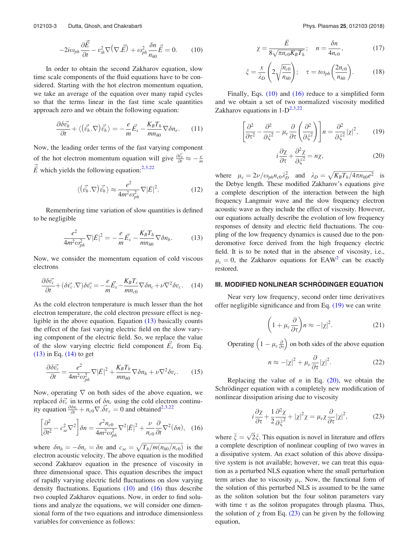$$
-2i\omega_{ph}\frac{\partial\vec{E}}{\partial t} - v_{th}^2 \nabla(\nabla.\vec{E}) + \omega_{ph}^2 \frac{\delta n}{n_{h0}} \vec{E} = 0.
$$
 (10)

In order to obtain the second Zakharov equation, slow time scale components of the fluid equations have to be considered. Starting with the hot electron momentum equation, we take an average of the equation over many rapid cycles so that the terms linear in the fast time scale quantities approach zero and we obtain the following equation:

$$
\frac{\partial \delta \vec{v_h}}{\partial t} + \langle (\vec{\tilde{v_h}} \cdot \nabla) \vec{\tilde{v_h}} \rangle = -\frac{e}{m} \vec{E_s} - \frac{K_B T_h}{m n_{h0}} \nabla \delta n_e.
$$
 (11)

Now, the leading order terms of the fast varying component of the hot electron momentum equation will give  $\frac{\partial \vec{v}_h}{\partial t} \approx -\frac{e}{m}$  $\vec{\tilde{E}}$  which yields the following equation:<sup>2,3,22</sup>

$$
\langle (\vec{v_h} \cdot \nabla) \vec{v_h} \rangle \approx \frac{e^2}{4m^2 \omega_{ph}^2} \nabla |\bar{E}|^2.
$$
 (12)

Remembering time variation of slow quantities is defined to be negligible

$$
\frac{e^2}{4m^2\omega_{ph}^2}\nabla|\bar{E}|^2 = -\frac{e}{m}\vec{E_s} - \frac{K_B T_h}{mn_{h0}}\nabla\delta n_h.
$$
 (13)

Now, we consider the momentum equation of cold viscous electrons

$$
\frac{\partial \delta \vec{v_c}}{\partial t} + (\delta \vec{v_c} \cdot \nabla) \delta \vec{v_c} = -\frac{e}{m} \vec{E_s} - \frac{K_B T_c}{m n_{c0}} \nabla \delta n_c + \nu \nabla^2 \delta v_c. \tag{14}
$$

As the cold electron temperature is much lesser than the hot electron temperature, the cold electron pressure effect is negligible in the above equation. Equation (13) basically counts the effect of the fast varying electric field on the slow varying component of the electric field. So, we replace the value of the slow varying electric field component  $E_s$  from Eq.  $(13)$  in Eq.  $(14)$  to get

$$
\frac{\partial \delta \vec{v_c}}{\partial t} = \frac{e^2}{4m^2 \omega_{ph}^2} \nabla |\bar{E}|^2 + \frac{K_B T_h}{mn_{h0}} \nabla \delta n_h + \nu \nabla^2 \delta v_c.
$$
 (15)

Now, operating  $\nabla$  on both sides of the above equation, we replaced  $\delta \vec{v_c}$  in terms of  $\delta n_c$  using the cold electron continuity equation  $\frac{\partial \delta n_c}{\partial t} + n_{c0} \nabla \cdot \vec{\delta v}_c = 0$  and obtained<sup>2,3,22</sup>

$$
\left[\frac{\partial^2}{\partial t^2} - c_{se}^2 \nabla^2\right] \delta n = \frac{e^2 n_{c0}}{4m^2 \omega_{ph}^2} \nabla^2 |\bar{E}|^2 + \frac{\nu}{n_{c0}} \frac{\partial}{\partial t} \nabla^2(\delta n), \quad (16)
$$

where  $\delta n_h = -\delta n_c = \delta n$  and  $c_{se} = \sqrt{T_h/m(n_{h0}/n_{c0})}$  is the electron acoustic velocity. The above equation is the modified second Zakharov equation in the presence of viscosity in three dimensional space. This equation describes the impact of rapidly varying electric field fluctuations on slow varying density fluctuations. Equations  $(10)$  and  $(16)$  thus describe two coupled Zakharov equations. Now, in order to find solutions and analyze the equations, we will consider one dimensional form of the two equations and introduce dimensionless variables for convenience as follows:

$$
\chi = \frac{\bar{E}}{8\sqrt{\pi n_{c0} K_B T_h}}; \quad n = \frac{\delta n}{4n_{c0}},\tag{17}
$$

$$
\xi = \frac{x}{\lambda_D} \left( 2 \sqrt{\frac{n_{c0}}{n_{h0}}} \right); \quad \tau = t \omega_{ph} \left( \frac{2n_{c0}}{n_{h0}} \right). \tag{18}
$$

Finally, Eqs. (10) and (16) reduce to a simplified form and we obtain a set of two normalized viscosity modified Zakharov equations in  $1-D^{2,3,22}$ 

$$
\left[\frac{\partial^2}{\partial \tau^2} - \frac{\partial^2}{\partial \xi^2} - \mu_v \frac{\partial}{\partial \tau} \left(\frac{\partial^2}{\partial \xi^2}\right)\right] n = \frac{\partial^2}{\partial \xi^2} |\chi|^2, \qquad (19)
$$

$$
i\frac{\partial \chi}{\partial \tau} + \frac{\partial^2 \chi}{\partial \xi^2} = n\chi,\tag{20}
$$

where  $\mu_v = 2\nu/\omega_{ph}n_{c0}\lambda_D^2$  and  $\lambda_D = \sqrt{K_B T_h/4\pi n_{h0}e^2}$  is the Debye length. These modified Zakharov's equations give a complete description of the interaction between the high frequency Langmuir wave and the slow frequency electron acoustic wave as they include the effect of viscosity. However, our equations actually describe the evolution of low frequency responses of density and electric field fluctuations. The coupling of the low frequency dynamics is caused due to the ponderomotive force derived from the high frequency electric field. It is to be noted that in the absence of viscosity, i.e.,  $\mu_v = 0$ , the Zakharov equations for EAW<sup>2</sup> can be exactly restored.

#### **III. MODIFIED NONLINEAR SCHRÖDINGER EQUATION**

Near very low frequency, second order time derivatives offer negligible significance and from Eq. (19) we can write

$$
\left(1 + \mu_v \frac{\partial}{\partial \tau}\right) n \approx -|\chi|^2. \tag{21}
$$

Operating  $\left(1 - \mu_v \frac{\partial}{\partial \tau}\right)$  on both sides of the above equation

$$
n \approx -|\chi|^2 + \mu_v \frac{\partial}{\partial \tau} |\chi|^2. \tag{22}
$$

Replacing the value of  $n$  in Eq.  $(20)$ , we obtain the Schrödinger equation with a completely new modification of nonlinear dissipation arising due to viscosity

$$
i\frac{\partial \chi}{\partial \tau} + \frac{1}{2} \frac{\partial^2 \chi}{\partial \bar{\zeta}^2} + |\chi|^2 \chi = \mu_v \chi \frac{\partial}{\partial \tau} |\chi|^2, \tag{23}
$$

where  $\bar{\xi} = \sqrt{2}\xi$ . This equation is novel in literature and offers a complete description of nonlinear coupling of two waves in a dissipative system. An exact solution of this above dissipative system is not available; however, we can treat this equation as a perturbed NLS equation where the small perturbation term arises due to viscosity  $\mu_{\nu}$ . Now, the functional form of the solution of this perturbed NLS is assumed to be the same as the soliton solution but the four soliton parameters vary with time  $\tau$  as the soliton propagates through plasma. Thus, the solution of  $\chi$  from Eq. (23) can be given by the following equation,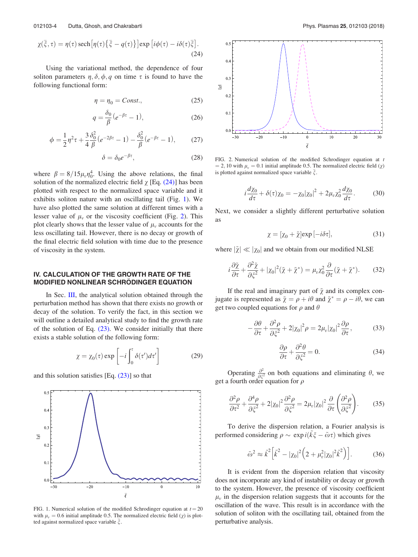$$
\chi(\bar{\xi},\tau) = \eta(\tau)\operatorname{sech}[\eta(\tau)\{\bar{\xi} - q(\tau)\}] \exp[i\phi(\tau) - i\delta(\tau)\bar{\xi}].
$$
\n(24)

Using the variational method, the dependence of four soliton parameters  $\eta$ ,  $\delta$ ,  $\phi$ , q on time  $\tau$  is found to have the following functional form:

$$
\eta = \eta_0 = Const.,\tag{25}
$$

$$
q = \frac{\delta_0}{\beta} (e^{-\beta \tau} - 1), \tag{26}
$$

$$
\phi = \frac{1}{2} \eta^2 \tau + \frac{3}{4} \frac{\delta_0^2}{\beta} (e^{-2\beta \tau} - 1) - \frac{\delta_0^2}{\beta} (e^{-\beta \tau} - 1), \tag{27}
$$

$$
\delta = \delta_0 e^{-\beta \tau},\tag{28}
$$

where  $\beta = 8/15\mu_v\eta_0^4$ . Using the above relations, the final solution of the normalized electric field  $\chi$  [Eq. (24)] has been plotted with respect to the normalized space variable and it exhibits soliton nature with an oscillating tail (Fig. 1). We have also plotted the same solution at different times with a lesser value of  $\mu$  or the viscosity coefficient (Fig. 2). This plot clearly shows that the lesser value of  $\mu$ <sub>v</sub> accounts for the less oscillating tail. However, there is no decay or growth of the final electric field solution with time due to the presence of viscosity in the system.

### IV. CALCULATION OF THE GROWTH RATE OF THE **MODIFIED NONLINEAR SCHRODINGER EQUATION**

In Sec. III, the analytical solution obtained through the perturbation method has shown that there exists no growth or decay of the solution. To verify the fact, in this section we will outline a detailed analytical study to find the growth rate of the solution of Eq.  $(23)$ . We consider initially that there exists a stable solution of the following form:

$$
\chi = \chi_0(\tau) \exp\left[-i \int_0^{\tau} \delta(\tau') d\tau'\right]
$$
 (29)

and this solution satisfies  $[Eq. (23)]$  so that



FIG. 1. Numerical solution of the modified Schrodinger equation at  $t = 20$ with  $\mu$  = 0.6 initial amplitude 0.5. The normalized electric field ( $\chi$ ) is plotted against normalized space variable  $\bar{\xi}$ .



FIG. 2. Numerical solution of the modified Schrodinger equation at t  $= 2, 10$  with  $\mu$ <sub>v</sub> = 0.1 initial amplitude 0.5. The normalized electric field ( $\chi$ ) is plotted against normalized space variable  $\bar{\xi}$ .

$$
i\frac{d\chi_0}{d\tau} + \delta(\tau)\chi_0 = -\chi_0|\chi_0|^2 + 2\mu_v\chi_0^2\frac{d\chi_0}{d\tau}.\tag{30}
$$

Next, we consider a slightly different perturbative solution as

$$
\chi = [\chi_0 + \tilde{\chi}] \exp[-i\delta\tau],\tag{31}
$$

where  $|\tilde{\chi}| \ll |\chi_0|$  and we obtain from our modified NLSE

$$
i\frac{\partial \tilde{\chi}}{\partial \tau} + \frac{\partial^2 \tilde{\chi}}{\partial \xi^2} + |\chi_0|^2 (\tilde{\chi} + \tilde{\chi}^*) = \mu_v \chi_0^2 \frac{\partial}{\partial \tau} (\tilde{\chi} + \tilde{\chi}^*). \tag{32}
$$

If the real and imaginary part of  $\tilde{\gamma}$  and its complex conjugate is represented as  $\tilde{\chi} = \rho + i\theta$  and  $\tilde{\chi}^* = \rho - i\theta$ , we can get two coupled equations for  $\rho$  and  $\theta$ 

$$
-\frac{\partial \theta}{\partial \tau} + \frac{\partial^2 \rho}{\partial \xi^2} + 2|\chi_0|^2 \rho = 2\mu_v |\chi_0|^2 \frac{\partial \rho}{\partial \tau},
$$
(33)

$$
\frac{\partial \rho}{\partial \tau} + \frac{\partial^2 \theta}{\partial \xi^2} = 0.
$$
 (34)

Operating  $\frac{\partial^2}{\partial x^2}$  $\frac{\partial^2}{\partial \xi^2}$  on both equations and eliminating  $\theta$ , we get a fourth order equation for  $\rho$ 

$$
\frac{\partial^2 \rho}{\partial \tau^2} + \frac{\partial^4 \rho}{\partial \xi^2} + 2|\chi_0|^2 \frac{\partial^2 \rho}{\partial \xi^2} = 2\mu_v |\chi_0|^2 \frac{\partial}{\partial \tau} \left(\frac{\partial^2 \rho}{\partial \xi^2}\right). \tag{35}
$$

To derive the dispersion relation, a Fourier analysis is performed considering  $\rho \sim \exp i(k \xi - \tilde{\omega} \tau)$  which gives

$$
\tilde{\omega}^2 \approx \tilde{k}^2 \left[ \tilde{k}^2 - |\chi_0|^2 \left( 2 + \mu_v^2 |\chi_0|^2 \tilde{k}^2 \right) \right]. \tag{36}
$$

It is evident from the dispersion relation that viscosity does not incorporate any kind of instability or decay or growth to the system. However, the presence of viscosity coefficient  $\mu$ <sub>v</sub> in the dispersion relation suggests that it accounts for the oscillation of the wave. This result is in accordance with the solution of soliton with the oscillating tail, obtained from the perturbative analysis.